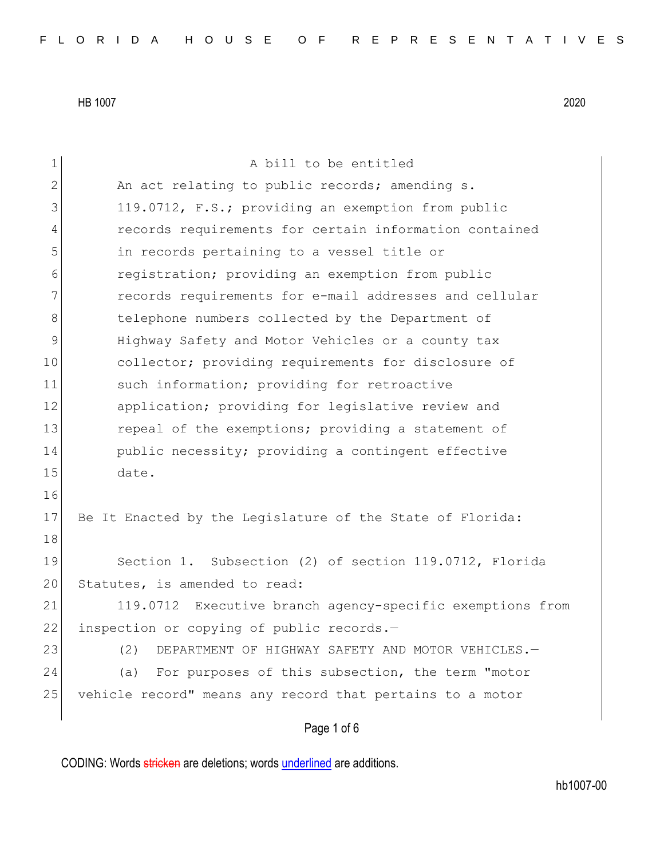Page 1 of 6 1 a bill to be entitled 2 An act relating to public records; amending s. 3 119.0712, F.S.; providing an exemption from public 4 records requirements for certain information contained 5 in records pertaining to a vessel title or 6 registration; providing an exemption from public 7 records requirements for e-mail addresses and cellular 8 18 18 telephone numbers collected by the Department of 9 Highway Safety and Motor Vehicles or a county tax 10 collector; providing requirements for disclosure of 11 such information; providing for retroactive 12 application; providing for legislative review and 13 13 repeal of the exemptions; providing a statement of 14 public necessity; providing a contingent effective 15 date. 16 17 Be It Enacted by the Legislature of the State of Florida: 18 19 Section 1. Subsection (2) of section 119.0712, Florida 20 Statutes, is amended to read: 21 119.0712 Executive branch agency-specific exemptions from 22 inspection or copying of public records.-23 (2) DEPARTMENT OF HIGHWAY SAFETY AND MOTOR VEHICLES. 24 (a) For purposes of this subsection, the term "motor 25 vehicle record" means any record that pertains to a motor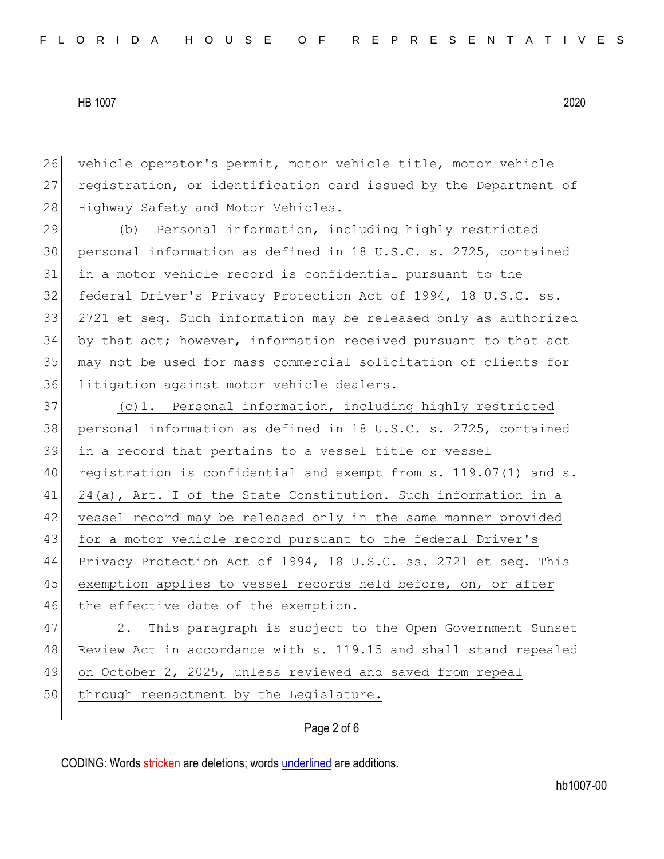26 vehicle operator's permit, motor vehicle title, motor vehicle 27 registration, or identification card issued by the Department of 28 Highway Safety and Motor Vehicles.

29 (b) Personal information, including highly restricted personal information as defined in 18 U.S.C. s. 2725, contained in a motor vehicle record is confidential pursuant to the federal Driver's Privacy Protection Act of 1994, 18 U.S.C. ss. 2721 et seq. Such information may be released only as authorized by that act; however, information received pursuant to that act may not be used for mass commercial solicitation of clients for 36 litigation against motor vehicle dealers.

37 (c)1. Personal information, including highly restricted 38 personal information as defined in 18 U.S.C. s. 2725, contained 39 in a record that pertains to a vessel title or vessel 40 registration is confidential and exempt from s. 119.07(1) and s. 41 24(a), Art. I of the State Constitution. Such information in a 42 vessel record may be released only in the same manner provided 43 for a motor vehicle record pursuant to the federal Driver's 44 Privacy Protection Act of 1994, 18 U.S.C. ss. 2721 et seq. This 45 exemption applies to vessel records held before, on, or after 46 the effective date of the exemption.

47 2. This paragraph is subject to the Open Government Sunset 48 Review Act in accordance with s. 119.15 and shall stand repealed 49 on October 2, 2025, unless reviewed and saved from repeal 50 through reenactment by the Legislature.

#### Page 2 of 6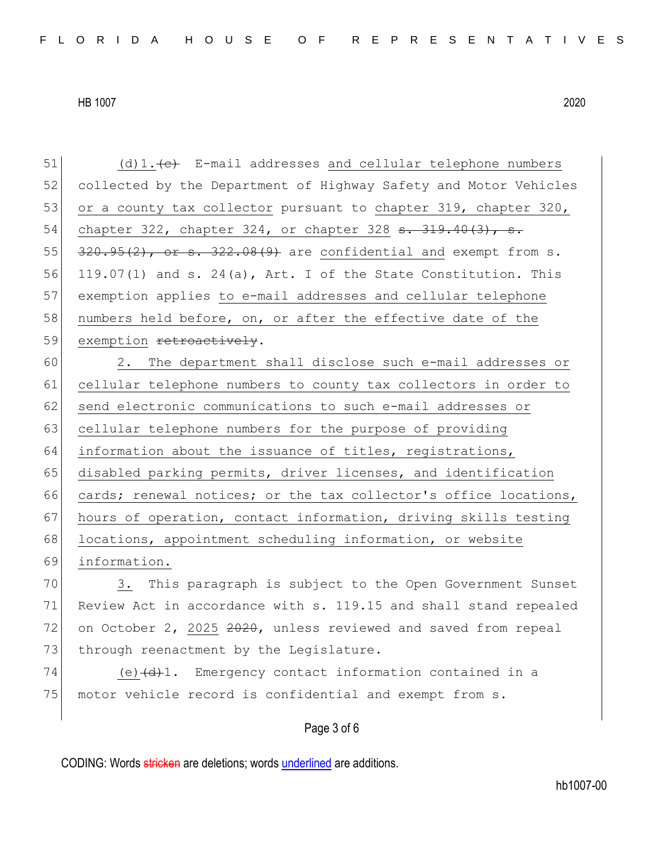51  $(d)$ 1. (d)  $(e)$  E-mail addresses and cellular telephone numbers 52 collected by the Department of Highway Safety and Motor Vehicles 53 or a county tax collector pursuant to chapter  $319$ , chapter  $320$ , 54 chapter 322, chapter 324, or chapter 328 <del>s. 319.40(3), s.</del>  $55$   $320.95(2)$ , or s.  $322.08(9)$  are confidential and exempt from s. 56 119.07(1) and s. 24(a), Art. I of the State Constitution. This 57 exemption applies to e-mail addresses and cellular telephone 58 numbers held before, on, or after the effective date of the 59 exemption retroactively. 60 2. The department shall disclose such e-mail addresses or 61 cellular telephone numbers to county tax collectors in order to 62 send electronic communications to such e-mail addresses or 63 cellular telephone numbers for the purpose of providing 64 information about the issuance of titles, registrations, 65 disabled parking permits, driver licenses, and identification 66 cards; renewal notices; or the tax collector's office locations, 67 hours of operation, contact information, driving skills testing 68 locations, appointment scheduling information, or website 69 information. 70 3. This paragraph is subject to the Open Government Sunset 71 Review Act in accordance with s. 119.15 and shall stand repealed 72 on October 2, 2025 2020, unless reviewed and saved from repeal 73 through reenactment by the Legislature.  $74$  (e) $\left(\frac{d}{d}\right)1$ . Emergency contact information contained in a

### Page 3 of 6

CODING: Words stricken are deletions; words underlined are additions.

75 motor vehicle record is confidential and exempt from s.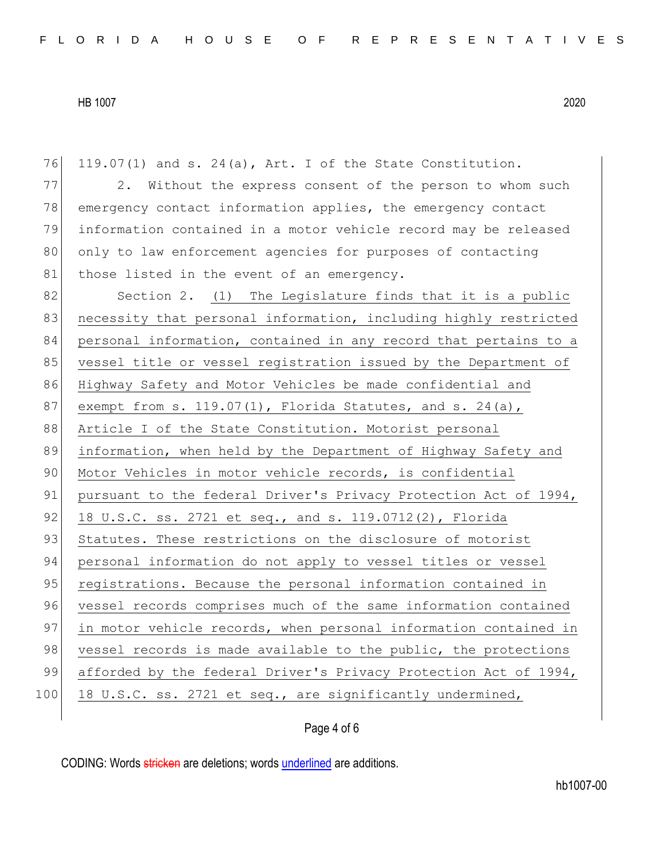| 76  | 119.07(1) and s. 24(a), Art. I of the State Constitution.        |
|-----|------------------------------------------------------------------|
| 77  | 2. Without the express consent of the person to whom such        |
| 78  | emergency contact information applies, the emergency contact     |
| 79  | information contained in a motor vehicle record may be released  |
| 80  | only to law enforcement agencies for purposes of contacting      |
| 81  | those listed in the event of an emergency.                       |
| 82  | Section 2. (1) The Legislature finds that it is a public         |
| 83  | necessity that personal information, including highly restricted |
| 84  | personal information, contained in any record that pertains to a |
| 85  | vessel title or vessel registration issued by the Department of  |
| 86  | Highway Safety and Motor Vehicles be made confidential and       |
| 87  | exempt from s. $119.07(1)$ , Florida Statutes, and s. $24(a)$ ,  |
| 88  | Article I of the State Constitution. Motorist personal           |
| 89  | information, when held by the Department of Highway Safety and   |
| 90  | Motor Vehicles in motor vehicle records, is confidential         |
| 91  | pursuant to the federal Driver's Privacy Protection Act of 1994, |
| 92  | 18 U.S.C. ss. 2721 et seq., and s. 119.0712(2), Florida          |
| 93  | Statutes. These restrictions on the disclosure of motorist       |
| 94  | personal information do not apply to vessel titles or vessel     |
| 95  | registrations. Because the personal information contained in     |
| 96  | vessel records comprises much of the same information contained  |
| 97  | in motor vehicle records, when personal information contained in |
| 98  | vessel records is made available to the public, the protections  |
| 99  | afforded by the federal Driver's Privacy Protection Act of 1994, |
| 100 | 18 U.S.C. ss. 2721 et seq., are significantly undermined,        |
|     |                                                                  |

# Page 4 of 6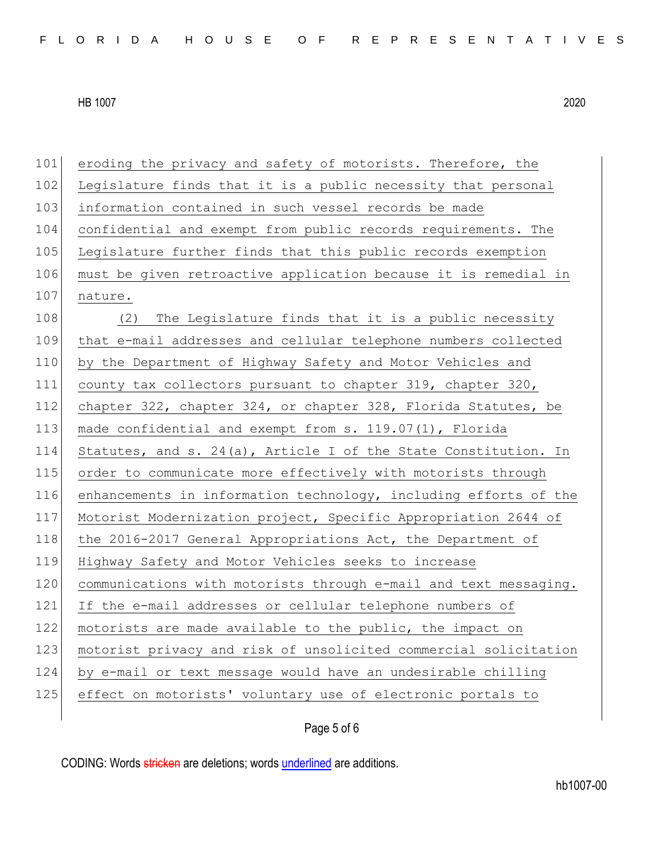101 eroding the privacy and safety of motorists. Therefore, the 102 Legislature finds that it is a public necessity that personal 103 information contained in such vessel records be made 104 confidential and exempt from public records requirements. The 105 Legislature further finds that this public records exemption 106 must be given retroactive application because it is remedial in 107 nature. 108 (2) The Legislature finds that it is a public necessity 109 that e-mail addresses and cellular telephone numbers collected 110 by the Department of Highway Safety and Motor Vehicles and 111 county tax collectors pursuant to chapter 319, chapter 320, 112 chapter 322, chapter 324, or chapter 328, Florida Statutes, be 113 made confidential and exempt from s. 119.07(1), Florida 114 Statutes, and s. 24(a), Article I of the State Constitution. In 115 order to communicate more effectively with motorists through 116 enhancements in information technology, including efforts of the 117 Motorist Modernization project, Specific Appropriation 2644 of 118 the 2016-2017 General Appropriations Act, the Department of 119 Highway Safety and Motor Vehicles seeks to increase 120 communications with motorists through e-mail and text messaging. 121 If the e-mail addresses or cellular telephone numbers of 122 motorists are made available to the public, the impact on 123 motorist privacy and risk of unsolicited commercial solicitation 124 by e-mail or text message would have an undesirable chilling 125 effect on motorists' voluntary use of electronic portals to

# Page 5 of 6